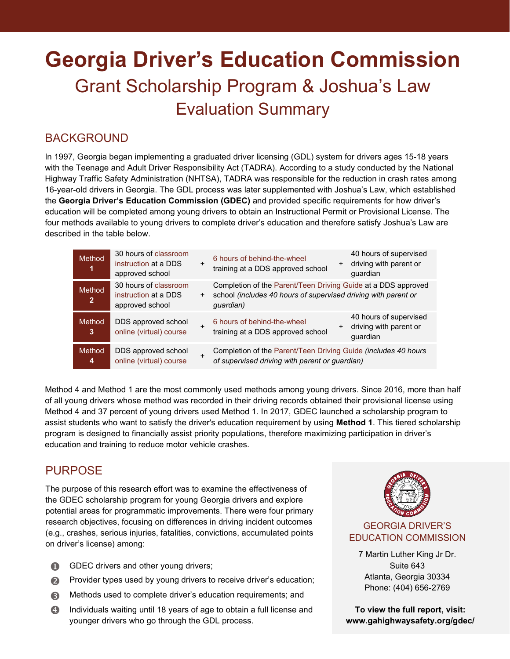# **Georgia Driver's Education Commission**  Grant Scholarship Program & Joshua's Law Evaluation Summary

## BACKGROUND

In 1997, Georgia began implementing a graduated driver licensing (GDL) system for drivers ages 15-18 years with the Teenage and Adult Driver Responsibility Act (TADRA). According to a study conducted by the National Highway Traffic Safety Administration (NHTSA), TADRA was responsible for the reduction in crash rates among 16-year-old drivers in Georgia. The GDL process was later supplemented with Joshua's Law, which established the **Georgia Driver's Education Commission (GDEC)** and provided specific requirements for how driver's education will be completed among young drivers to obtain an Instructional Permit or Provisional License. The four methods available to young drivers to complete driver's education and therefore satisfy Joshua's Law are described in the table below.

| Method<br>$\mathbf{1}$   | 30 hours of classroom<br>instruction at a DDS<br>approved school |     | 40 hours of supervised<br>6 hours of behind-the-wheel<br>driving with parent or<br>$+$<br>training at a DDS approved school<br>quardian      |
|--------------------------|------------------------------------------------------------------|-----|----------------------------------------------------------------------------------------------------------------------------------------------|
| Method<br>$\overline{2}$ | 30 hours of classroom<br>instruction at a DDS<br>approved school | $+$ | Completion of the Parent/Teen Driving Guide at a DDS approved<br>school (includes 40 hours of supervised driving with parent or<br>quardian) |
| <b>Method</b><br>3       | DDS approved school<br>online (virtual) course                   |     | 40 hours of supervised<br>6 hours of behind-the-wheel<br>driving with parent or<br>training at a DDS approved school<br>quardian             |
| <b>Method</b><br>4       | DDS approved school<br>online (virtual) course                   |     | Completion of the Parent/Teen Driving Guide (includes 40 hours<br>of supervised driving with parent or guardian)                             |

Method 4 and Method 1 are the most commonly used methods among young drivers. Since 2016, more than half of all young drivers whose method was recorded in their driving records obtained their provisional license using Method 4 and 37 percent of young drivers used Method 1. In 2017, GDEC launched a scholarship program to assist students who want to satisfy the driver's education requirement by using **Method 1**. This tiered scholarship program is designed to financially assist priority populations, therefore maximizing participation in driver's education and training to reduce motor vehicle crashes.

## **PURPOSE**

The purpose of this research effort was to examine the effectiveness of the GDEC scholarship program for young Georgia drivers and explore potential areas for programmatic improvements. There were four primary research objectives, focusing on differences in driving incident outcomes (e.g., crashes, serious injuries, fatalities, convictions, accumulated points on driver's license) among:

- GDEC drivers and other young drivers;
- **Provider types used by young drivers to receive driver's education;**
- **B** Methods used to complete driver's education requirements; and
- **4** Individuals waiting until 18 years of age to obtain a full license and younger drivers who go through the GDL process.



### GEORGIA DRIVER'S EDUCATION COMMISSION

7 Martin Luther King Jr Dr. Suite 643 Atlanta, Georgia 30334 Phone: (404) 656-2769

**To view the full report, visit: www.gahighwaysafety.org/gdec/**